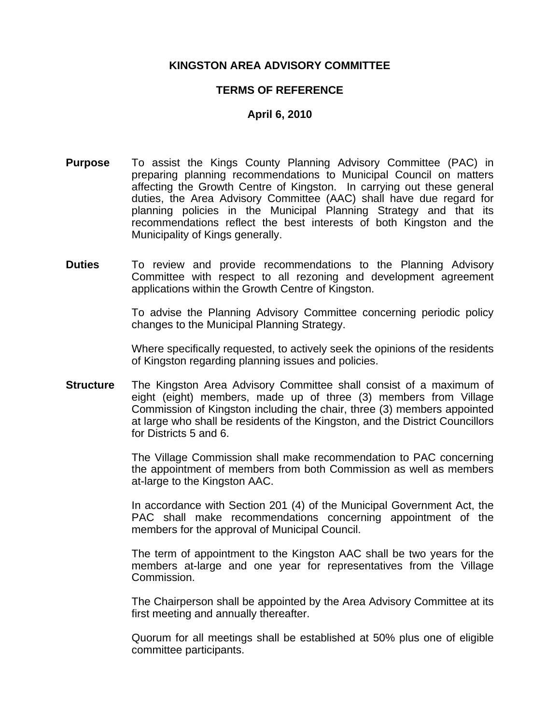## **KINGSTON AREA ADVISORY COMMITTEE**

## **TERMS OF REFERENCE**

## **April 6, 2010**

- **Purpose** To assist the Kings County Planning Advisory Committee (PAC) in preparing planning recommendations to Municipal Council on matters affecting the Growth Centre of Kingston. In carrying out these general duties, the Area Advisory Committee (AAC) shall have due regard for planning policies in the Municipal Planning Strategy and that its recommendations reflect the best interests of both Kingston and the Municipality of Kings generally.
- **Duties** To review and provide recommendations to the Planning Advisory Committee with respect to all rezoning and development agreement applications within the Growth Centre of Kingston.

To advise the Planning Advisory Committee concerning periodic policy changes to the Municipal Planning Strategy.

 Where specifically requested, to actively seek the opinions of the residents of Kingston regarding planning issues and policies.

**Structure** The Kingston Area Advisory Committee shall consist of a maximum of eight (eight) members, made up of three (3) members from Village Commission of Kingston including the chair, three (3) members appointed at large who shall be residents of the Kingston, and the District Councillors for Districts 5 and 6.

> The Village Commission shall make recommendation to PAC concerning the appointment of members from both Commission as well as members at-large to the Kingston AAC.

> In accordance with Section 201 (4) of the Municipal Government Act, the PAC shall make recommendations concerning appointment of the members for the approval of Municipal Council.

> The term of appointment to the Kingston AAC shall be two years for the members at-large and one year for representatives from the Village Commission.

> The Chairperson shall be appointed by the Area Advisory Committee at its first meeting and annually thereafter.

> Quorum for all meetings shall be established at 50% plus one of eligible committee participants.